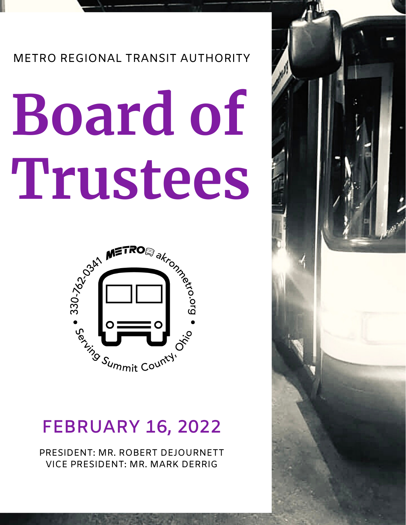### METRO REGIONAL TRANSIT AUTHORITY

# **Board of Trustees**



## **FEBRUARY 16, 2022**

PRESIDENT: MR. ROBERT DEJOURNETT VICE PRESIDENT: MR. MARK DERRIG

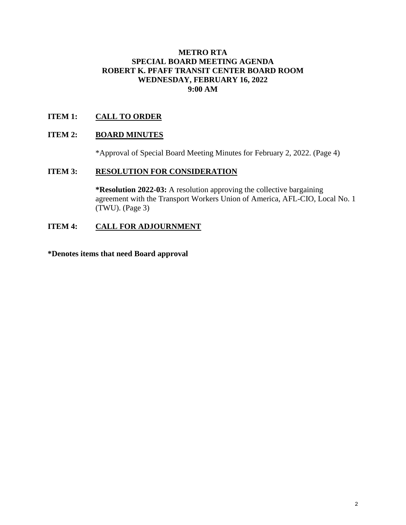#### **METRO RTA SPECIAL BOARD MEETING AGENDA ROBERT K. PFAFF TRANSIT CENTER BOARD ROOM WEDNESDAY, FEBRUARY 16, 2022 9:00 AM**

#### **ITEM 1: CALL TO ORDER**

#### **ITEM 2: BOARD MINUTES**

\*Approval of Special Board Meeting Minutes for February 2, 2022. (Page 4)

#### **ITEM 3: RESOLUTION FOR CONSIDERATION**

**\*Resolution 2022-03:** A resolution approving the collective bargaining agreement with the Transport Workers Union of America, AFL-CIO, Local No. 1 (TWU). (Page 3)

#### **ITEM 4: CALL FOR ADJOURNMENT**

**\*Denotes items that need Board approval**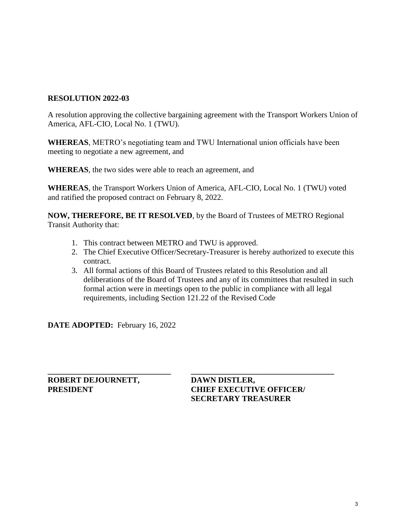#### **RESOLUTION 2022-03**

A resolution approving the collective bargaining agreement with the Transport Workers Union of America, AFL-CIO, Local No. 1 (TWU).

**WHEREAS**, METRO's negotiating team and TWU International union officials have been meeting to negotiate a new agreement, and

**WHEREAS**, the two sides were able to reach an agreement, and

**WHEREAS**, the Transport Workers Union of America, AFL-CIO, Local No. 1 (TWU) voted and ratified the proposed contract on February 8, 2022.

**NOW, THEREFORE, BE IT RESOLVED**, by the Board of Trustees of METRO Regional Transit Authority that:

**\_\_\_\_\_\_\_\_\_\_\_\_\_\_\_\_\_\_\_\_\_\_\_\_\_\_\_\_\_\_\_ \_\_\_\_\_\_\_\_\_\_\_\_\_\_\_\_\_\_\_\_\_\_\_\_\_\_\_\_\_\_\_\_\_\_\_\_**

- 1. This contract between METRO and TWU is approved.
- 2. The Chief Executive Officer/Secretary-Treasurer is hereby authorized to execute this contract.
- 3. All formal actions of this Board of Trustees related to this Resolution and all deliberations of the Board of Trustees and any of its committees that resulted in such formal action were in meetings open to the public in compliance with all legal requirements, including Section 121.22 of the Revised Code

**DATE ADOPTED:** February 16, 2022

**ROBERT DEJOURNETT, DAWN DISTLER,** 

**PRESIDENT CHIEF EXECUTIVE OFFICER/ SECRETARY TREASURER**